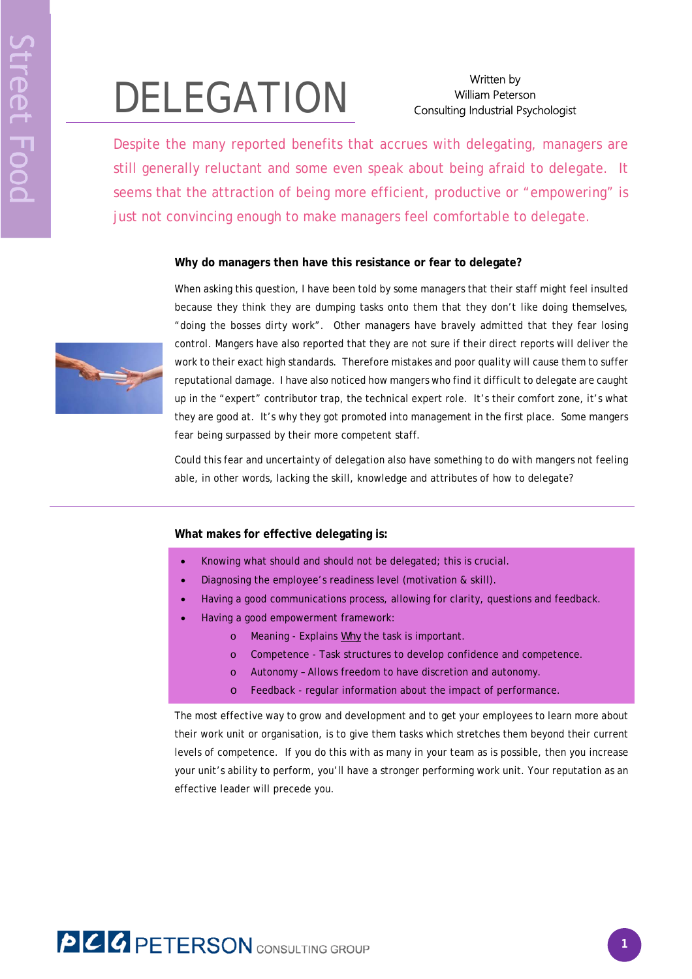# Written by<br>Milliam Peters William Peters<br>Consulting Industrial P

# William Peterson Consulting Industrial Psychologist

Despite the many reported benefits that accrues with delegating, managers are still generally reluctant and some even speak about being afraid to delegate. It seems that the attraction of being more efficient, productive or "empowering" is just not convincing enough to make managers feel comfortable to delegate.

# **Why do managers then have this resistance or fear to delegate?**



When asking this question, I have been told by some managers that their staff might feel insulted because they think they are dumping tasks onto them that they don't like doing themselves, "doing the bosses dirty work". Other managers have bravely admitted that they fear losing control. Mangers have also reported that they are not sure if their direct reports will deliver the work to their exact high standards. Therefore mistakes and poor quality will cause them to suffer reputational damage. I have also noticed how mangers who find it difficult to delegate are caught up in the "expert" contributor trap, the technical expert role. It's their comfort zone, it's what they are good at. It's why they got promoted into management in the first place. Some mangers fear being surpassed by their more competent staff.

Could this fear and uncertainty of delegation also have something to do with mangers not feeling able, in other words, lacking the skill, knowledge and attributes of how to delegate?

## **What makes for effective delegating is:**

- Knowing what should and should not be delegated; this is crucial.
- Diagnosing the employee's readiness level (motivation & skill).
- Having a good communications process, allowing for clarity, questions and feedback.
- Having a good empowerment framework:
	- o Meaning Explains *Why* the task is important.
	- o Competence Task structures to develop confidence and competence.
	- o Autonomy Allows freedom to have discretion and autonomy.
	- o Feedback regular information about the impact of performance.

The most effective way to grow and development and to get your employees to learn more about their work unit or organisation, is to give them tasks which stretches them beyond their current levels of competence. If you do this with as many in your team as is possible, then you increase your unit's ability to perform, you'll have a stronger performing work unit. Your reputation as an effective leader will precede you.

# **PCC PETERSON** CONSULTING GROUP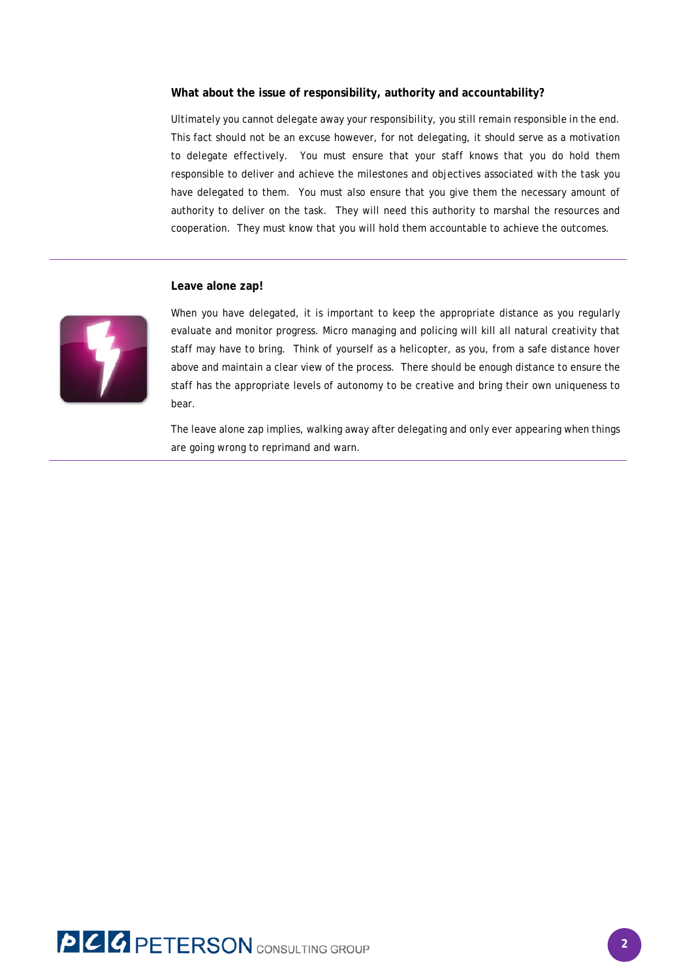#### **What about the issue of responsibility, authority and accountability?**

Ultimately you cannot delegate away your responsibility, you still remain responsible in the end. This fact should not be an excuse however, for not delegating, it should serve as a motivation to delegate effectively. You must ensure that your staff knows that you do hold them responsible to deliver and achieve the milestones and objectives associated with the task you have delegated to them. You must also ensure that you give them the necessary amount of authority to deliver on the task. They will need this authority to marshal the resources and cooperation. They must know that you will hold them accountable to achieve the outcomes.

#### **Leave alone zap!**



When you have delegated, it is important to keep the appropriate distance as you regularly evaluate and monitor progress. Micro managing and policing will kill all natural creativity that staff may have to bring. Think of yourself as a helicopter, as you, from a safe distance hover above and maintain a clear view of the process. There should be enough distance to ensure the staff has the appropriate levels of autonomy to be creative and bring their own uniqueness to bear.

The leave alone zap implies, walking away after delegating and only ever appearing when things are going wrong to reprimand and warn.

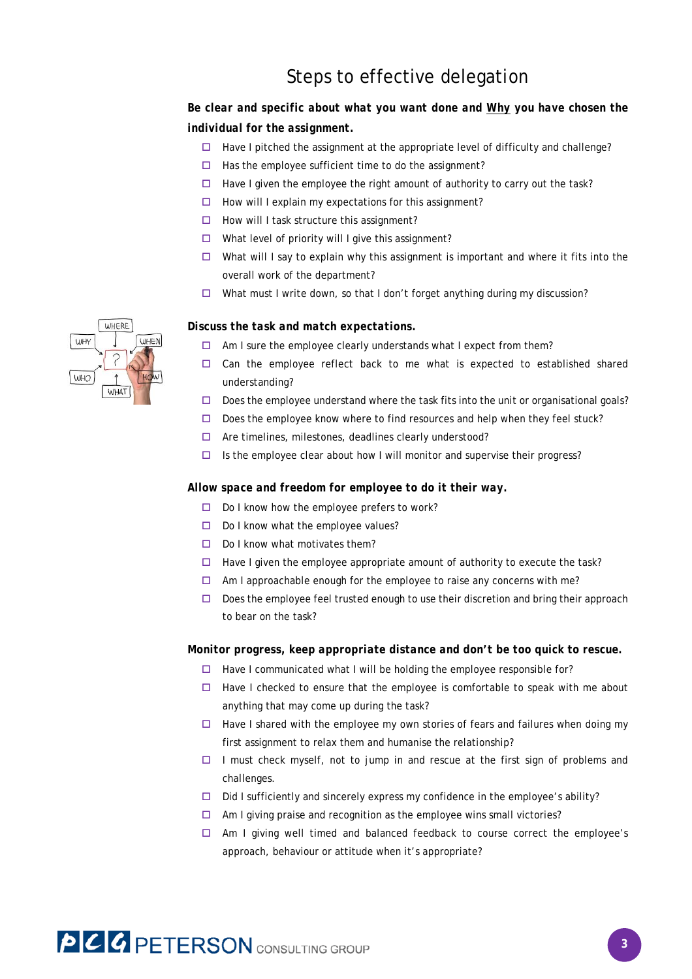# Steps to effective delegation

# *Be clear and specific about what you want done and Why you have chosen the individual for the assignment.*

- $\Box$  Have I pitched the assignment at the appropriate level of difficulty and challenge?
- $\Box$  Has the employee sufficient time to do the assignment?
- $\Box$  Have I given the employee the right amount of authority to carry out the task?
- $\Box$  How will I explain my expectations for this assignment?
- $\Box$  How will I task structure this assignment?
- $\Box$  What level of priority will I give this assignment?
- $\Box$  What will I say to explain why this assignment is important and where it fits into the overall work of the department?
- $\Box$  What must I write down, so that I don't forget anything during my discussion?

### *Discuss the task and match expectations.*

- $\Box$  Am I sure the employee clearly understands what I expect from them?
- $\Box$  Can the employee reflect back to me what is expected to established shared understanding?
- $\square$  Does the employee understand where the task fits into the unit or organisational goals?
- $\Box$  Does the employee know where to find resources and help when they feel stuck?
- $\Box$  Are timelines, milestones, deadlines clearly understood?
- $\Box$  Is the employee clear about how I will monitor and supervise their progress?

#### *Allow space and freedom for employee to do it their way.*

- $\Box$  Do I know how the employee prefers to work?
- $\Box$  Do I know what the employee values?
- $\Box$  Do I know what motivates them?
- $\Box$  Have I given the employee appropriate amount of authority to execute the task?
- $\Box$  Am I approachable enough for the employee to raise any concerns with me?
- $\Box$  Does the employee feel trusted enough to use their discretion and bring their approach to bear on the task?

### *Monitor progress, keep appropriate distance and don't be too quick to rescue.*

- $\Box$  Have I communicated what I will be holding the employee responsible for?
- $\Box$  Have I checked to ensure that the employee is comfortable to speak with me about anything that may come up during the task?
- $\Box$  Have I shared with the employee my own stories of fears and failures when doing my first assignment to relax them and humanise the relationship?
- I must check myself, not to jump in and rescue at the first sign of problems and challenges.
- $\Box$  Did I sufficiently and sincerely express my confidence in the employee's ability?
- $\Box$  Am I giving praise and recognition as the employee wins small victories?
- $\Box$  Am I giving well timed and balanced feedback to course correct the employee's approach, behaviour or attitude when it's appropriate?



# **PCC PETERSON** CONSULTING GROUP